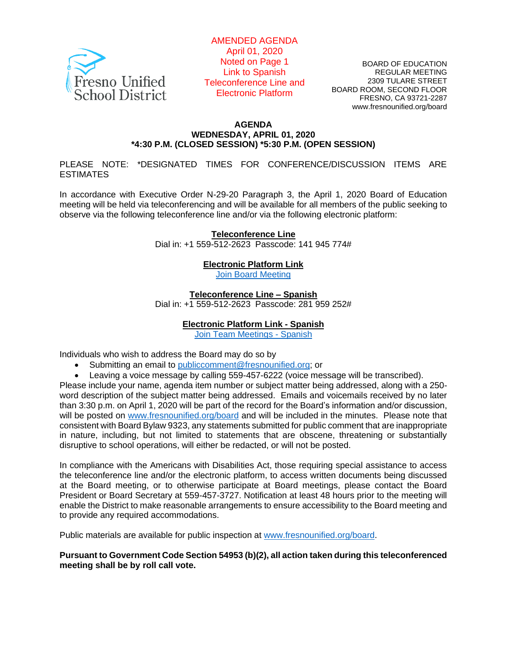

AMENDED AGENDA April 01, 2020 Noted on Page 1 Link to Spanish Teleconference Line and Electronic Platform

BOARD OF EDUCATION REGULAR MEETING 2309 TULARE STREET BOARD ROOM, SECOND FLOOR FRESNO, CA 93721-2287 www.fresnounified.org/board

#### **AGENDA WEDNESDAY, APRIL 01, 2020 \*4:30 P.M. (CLOSED SESSION) \*5:30 P.M. (OPEN SESSION)**

PLEASE NOTE: \*DESIGNATED TIMES FOR CONFERENCE/DISCUSSION ITEMS ARE **ESTIMATES** 

In accordance with Executive Order N-29-20 Paragraph 3, the April 1, 2020 Board of Education meeting will be held via teleconferencing and will be available for all members of the public seeking to observe via the following teleconference line and/or via the following electronic platform:

> **Teleconference Line** Dial in: +1 559-512-2623 Passcode: 141 945 774#

> > **Electronic Platform Link**

[Join Board Meeting](https://teams.microsoft.com/dl/launcher/launcher.html?url=%2f_%23%2fl%2fmeetup-join%2f19%3ameeting_YjI1MzkyMmQtZDBmMi00ZGEyLWIxNmQtY2YxY2VlOGZmMGY0%40thread.v2%2f0%3fcontext%3d%257b%2522Tid%2522%253a%252274c90083-03c6-453a-801c-9251cdd17eb8%2522%252c%2522Oid%2522%253a%2522f06a4017-b197-4a26-b841-319d84526564%2522%257d%26anon%3dtrue&type=meetup-join&deeplinkId=44bca8fe-13e3-4c31-a5b1-08eb758e53c1&directDl=true&msLaunch=true&enableMobilePage=true&suppressPrompt=true)

**Teleconference Line – Spanish**

Dial in: +1 559-512-2623 Passcode: 281 959 252#

#### **Electronic Platform Link - Spanish**

[Join Team Meetings -](https://nam02.safelinks.protection.outlook.com/?url=https%3A%2F%2Fteams.microsoft.com%2Fdl%2Flauncher%2Flauncher.html%3Furl%3D%252f_%2523%252fl%252fmeetup-join%252f19%253ameeting_OGRmY2FkY2ItNWNjNi00MTM0LTkxMGItNTIyMDllNWI0MDUw%2540thread.v2%252f0%253fcontext%253d%25257b%252522Tid%252522%25253a%25252274c90083-03c6-453a-801c-9251cdd17eb8%252522%25252c%252522Oid%252522%25253a%252522f5d9323c-e1e2-4f90-8015-b7701f5790c4%252522%25257d%2526anon%253dtrue%26type%3Dmeetup-join%26deeplinkId%3D8396015b-1ea7-4621-9069-3e0c85324c7d%26directDl%3Dtrue%26msLaunch%3Dtrue%26enableMobilePage%3Dtrue%26suppressPrompt%3Dtrue&data=02%7C01%7CDavid.Chavez%40fresnounified.org%7Cd2c45236c84f4671399c08d7d65a0c77%7C74c9008303c6453a801c9251cdd17eb8%7C0%7C0%7C637213554551794849&sdata=hS%2Br8pEHRU%2B5mxU2b6zGgyRylKOAUIJpLQfLxSAzfDg%3D&reserved=0) Spanish

Individuals who wish to address the Board may do so by

- Submitting an email to [publiccomment@fresnounified.org;](mailto:publiccomment@fresnounified.org) or
- Leaving a voice message by calling 559-457-6222 (voice message will be transcribed).

Please include your name, agenda item number or subject matter being addressed, along with a 250 word description of the subject matter being addressed. Emails and voicemails received by no later than 3:30 p.m. on April 1, 2020 will be part of the record for the Board's information and/or discussion, will be posted on [www.fresnounified.org/board](http://www.fresnounified.org/board) and will be included in the minutes. Please note that consistent with Board Bylaw 9323, any statements submitted for public comment that are inappropriate in nature, including, but not limited to statements that are obscene, threatening or substantially disruptive to school operations, will either be redacted, or will not be posted.

In compliance with the Americans with Disabilities Act, those requiring special assistance to access the teleconference line and/or the electronic platform, to access written documents being discussed at the Board meeting, or to otherwise participate at Board meetings, please contact the Board President or Board Secretary at 559-457-3727. Notification at least 48 hours prior to the meeting will enable the District to make reasonable arrangements to ensure accessibility to the Board meeting and to provide any required accommodations.

Public materials are available for public inspection at [www.fresnounified.org/board.](http://www.fresnounified.org/board)

**Pursuant to Government Code Section 54953 (b)(2), all action taken during this teleconferenced meeting shall be by roll call vote.**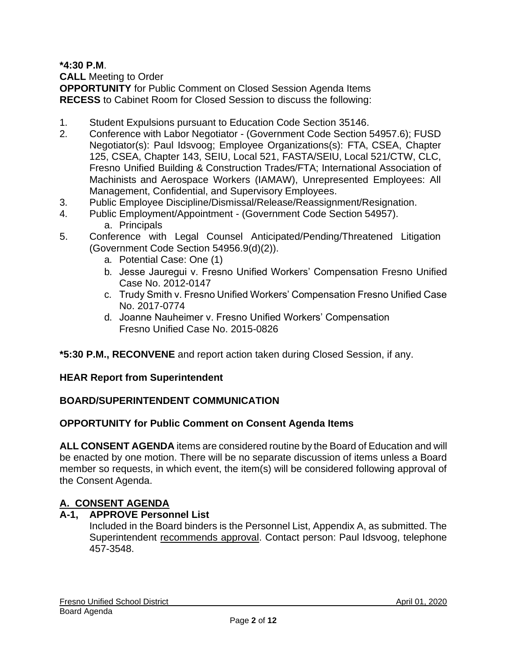**\*4:30 P.M**.

**CALL** Meeting to Order

**OPPORTUNITY** for Public Comment on Closed Session Agenda Items **RECESS** to Cabinet Room for Closed Session to discuss the following:

- 1. Student Expulsions pursuant to Education Code Section 35146.
- 2. Conference with Labor Negotiator (Government Code Section 54957.6); FUSD Negotiator(s): Paul Idsvoog; Employee Organizations(s): FTA, CSEA, Chapter 125, CSEA, Chapter 143, SEIU, Local 521, FASTA/SEIU, Local 521/CTW, CLC, Fresno Unified Building & Construction Trades/FTA; International Association of Machinists and Aerospace Workers (IAMAW), Unrepresented Employees: All Management, Confidential, and Supervisory Employees.
- 3. Public Employee Discipline/Dismissal/Release/Reassignment/Resignation.
- 4. Public Employment/Appointment (Government Code Section 54957). a. Principals
- 5. Conference with Legal Counsel Anticipated/Pending/Threatened Litigation (Government Code Section 54956.9(d)(2)).
	- a. Potential Case: One (1)
	- b. Jesse Jauregui v. Fresno Unified Workers' Compensation Fresno Unified Case No. 2012-0147
	- c. Trudy Smith v. Fresno Unified Workers' Compensation Fresno Unified Case No. 2017-0774
	- d. Joanne Nauheimer v. Fresno Unified Workers' Compensation Fresno Unified Case No. 2015-0826

**\*5:30 P.M., RECONVENE** and report action taken during Closed Session, if any.

## **HEAR Report from Superintendent**

# **BOARD/SUPERINTENDENT COMMUNICATION**

# **OPPORTUNITY for Public Comment on Consent Agenda Items**

**ALL CONSENT AGENDA** items are considered routine by the Board of Education and will be enacted by one motion. There will be no separate discussion of items unless a Board member so requests, in which event, the item(s) will be considered following approval of the Consent Agenda.

# **A. CONSENT AGENDA**

## **A-1, APPROVE Personnel List**

Included in the Board binders is the Personnel List, Appendix A, as submitted. The Superintendent recommends approval. Contact person: Paul Idsvoog, telephone 457-3548.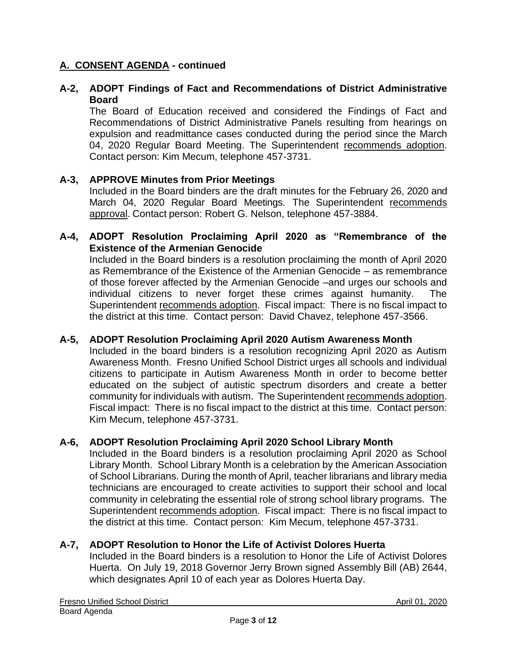#### **A-2, ADOPT Findings of Fact and Recommendations of District Administrative Board**

The Board of Education received and considered the Findings of Fact and Recommendations of District Administrative Panels resulting from hearings on expulsion and readmittance cases conducted during the period since the March 04, 2020 Regular Board Meeting. The Superintendent recommends adoption. Contact person: Kim Mecum, telephone 457-3731.

#### **A-3, APPROVE Minutes from Prior Meetings**

Included in the Board binders are the draft minutes for the February 26, 2020 and March 04, 2020 Regular Board Meetings. The Superintendent recommends approval. Contact person: Robert G. Nelson, telephone 457-3884.

#### **A-4, ADOPT Resolution Proclaiming April 2020 as "Remembrance of the Existence of the Armenian Genocide**

Included in the Board binders is a resolution proclaiming the month of April 2020 as Remembrance of the Existence of the Armenian Genocide – as remembrance of those forever affected by the Armenian Genocide –and urges our schools and individual citizens to never forget these crimes against humanity. The Superintendent recommends adoption. Fiscal impact: There is no fiscal impact to the district at this time. Contact person: David Chavez, telephone 457-3566.

#### **A-5, ADOPT Resolution Proclaiming April 2020 Autism Awareness Month**

Included in the board binders is a resolution recognizing April 2020 as Autism Awareness Month. Fresno Unified School District urges all schools and individual citizens to participate in Autism Awareness Month in order to become better educated on the subject of autistic spectrum disorders and create a better community for individuals with autism. The Superintendent recommends adoption. Fiscal impact: There is no fiscal impact to the district at this time. Contact person: Kim Mecum, telephone 457-3731.

#### **A-6, ADOPT Resolution Proclaiming April 2020 School Library Month**

Included in the Board binders is a resolution proclaiming April 2020 as School Library Month. School Library Month is a celebration by the American Association of School Librarians. During the month of April, teacher librarians and library media technicians are encouraged to create activities to support their school and local community in celebrating the essential role of strong school library programs. The Superintendent recommends adoption. Fiscal impact: There is no fiscal impact to the district at this time. Contact person: Kim Mecum, telephone 457-3731.

## **A-7, ADOPT Resolution to Honor the Life of Activist Dolores Huerta**

Included in the Board binders is a resolution to Honor the Life of Activist Dolores Huerta. On July 19, 2018 Governor Jerry Brown signed Assembly Bill (AB) 2644, which designates April 10 of each year as Dolores Huerta Day.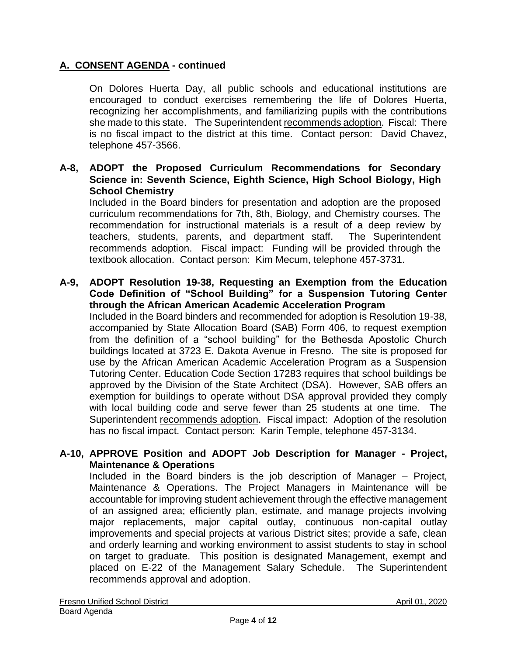On Dolores Huerta Day, all public schools and educational institutions are encouraged to conduct exercises remembering the life of Dolores Huerta, recognizing her accomplishments, and familiarizing pupils with the contributions she made to this state. The Superintendent recommends adoption. Fiscal: There is no fiscal impact to the district at this time. Contact person: David Chavez, telephone 457-3566.

#### **A-8, ADOPT the Proposed Curriculum Recommendations for Secondary Science in: Seventh Science, Eighth Science, High School Biology, High School Chemistry**

Included in the Board binders for presentation and adoption are the proposed curriculum recommendations for 7th, 8th, Biology, and Chemistry courses. The recommendation for instructional materials is a result of a deep review by teachers, students, parents, and department staff. The Superintendent recommends adoption. Fiscal impact: Funding will be provided through the textbook allocation. Contact person: Kim Mecum, telephone 457-3731.

# **A-9, ADOPT Resolution 19-38, Requesting an Exemption from the Education Code Definition of "School Building" for a Suspension Tutoring Center through the African American Academic Acceleration Program**

Included in the Board binders and recommended for adoption is Resolution 19-38, accompanied by State Allocation Board (SAB) Form 406, to request exemption from the definition of a "school building" for the Bethesda Apostolic Church buildings located at 3723 E. Dakota Avenue in Fresno. The site is proposed for use by the African American Academic Acceleration Program as a Suspension Tutoring Center. Education Code Section 17283 requires that school buildings be approved by the Division of the State Architect (DSA). However, SAB offers an exemption for buildings to operate without DSA approval provided they comply with local building code and serve fewer than 25 students at one time. The Superintendent recommends adoption. Fiscal impact: Adoption of the resolution has no fiscal impact. Contact person: Karin Temple, telephone 457-3134.

#### **A-10, APPROVE Position and ADOPT Job Description for Manager - Project, Maintenance & Operations**

Included in the Board binders is the job description of Manager – Project, Maintenance & Operations. The Project Managers in Maintenance will be accountable for improving student achievement through the effective management of an assigned area; efficiently plan, estimate, and manage projects involving major replacements, major capital outlay, continuous non-capital outlay improvements and special projects at various District sites; provide a safe, clean and orderly learning and working environment to assist students to stay in school on target to graduate. This position is designated Management, exempt and placed on E-22 of the Management Salary Schedule. The Superintendent recommends approval and adoption.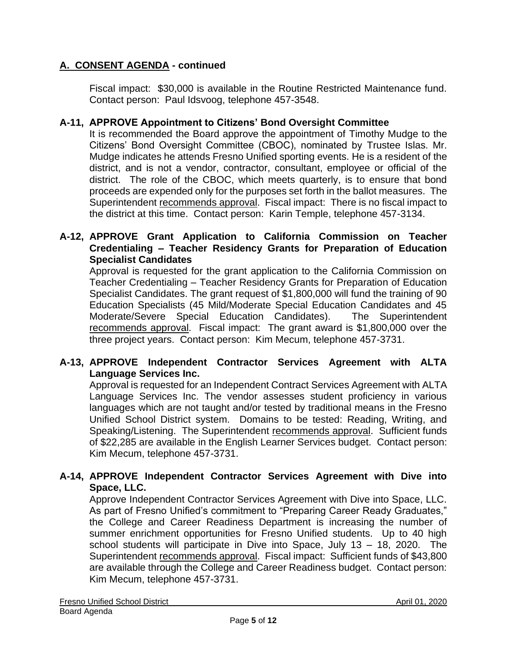Fiscal impact: \$30,000 is available in the Routine Restricted Maintenance fund. Contact person: Paul Idsvoog, telephone 457-3548.

#### **A-11, APPROVE Appointment to Citizens' Bond Oversight Committee**

It is recommended the Board approve the appointment of Timothy Mudge to the Citizens' Bond Oversight Committee (CBOC), nominated by Trustee Islas. Mr. Mudge indicates he attends Fresno Unified sporting events. He is a resident of the district, and is not a vendor, contractor, consultant, employee or official of the district. The role of the CBOC, which meets quarterly, is to ensure that bond proceeds are expended only for the purposes set forth in the ballot measures. The Superintendent recommends approval. Fiscal impact: There is no fiscal impact to the district at this time. Contact person: Karin Temple, telephone 457-3134.

#### **A-12, APPROVE Grant Application to California Commission on Teacher Credentialing – Teacher Residency Grants for Preparation of Education Specialist Candidates**

Approval is requested for the grant application to the California Commission on Teacher Credentialing – Teacher Residency Grants for Preparation of Education Specialist Candidates. The grant request of \$1,800,000 will fund the training of 90 Education Specialists (45 Mild/Moderate Special Education Candidates and 45 Moderate/Severe Special Education Candidates). The Superintendent recommends approval. Fiscal impact: The grant award is \$1,800,000 over the three project years. Contact person: Kim Mecum, telephone 457-3731.

#### **A-13, APPROVE Independent Contractor Services Agreement with ALTA Language Services Inc.**

Approval is requested for an Independent Contract Services Agreement with ALTA Language Services Inc. The vendor assesses student proficiency in various languages which are not taught and/or tested by traditional means in the Fresno Unified School District system. Domains to be tested: Reading, Writing, and Speaking/Listening. The Superintendent recommends approval. Sufficient funds of \$22,285 are available in the English Learner Services budget. Contact person: Kim Mecum, telephone 457-3731.

## **A-14, APPROVE Independent Contractor Services Agreement with Dive into Space, LLC.**

Approve Independent Contractor Services Agreement with Dive into Space, LLC. As part of Fresno Unified's commitment to "Preparing Career Ready Graduates," the College and Career Readiness Department is increasing the number of summer enrichment opportunities for Fresno Unified students. Up to 40 high school students will participate in Dive into Space, July 13 – 18, 2020. The Superintendent recommends approval. Fiscal impact: Sufficient funds of \$43,800 are available through the College and Career Readiness budget. Contact person: Kim Mecum, telephone 457-3731.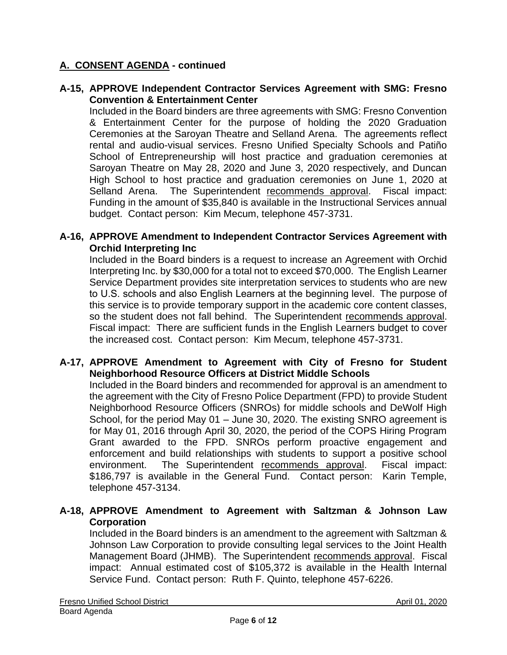#### **A-15, APPROVE Independent Contractor Services Agreement with SMG: Fresno Convention & Entertainment Center**

Included in the Board binders are three agreements with SMG: Fresno Convention & Entertainment Center for the purpose of holding the 2020 Graduation Ceremonies at the Saroyan Theatre and Selland Arena. The agreements reflect rental and audio-visual services. Fresno Unified Specialty Schools and Patiño School of Entrepreneurship will host practice and graduation ceremonies at Saroyan Theatre on May 28, 2020 and June 3, 2020 respectively, and Duncan High School to host practice and graduation ceremonies on June 1, 2020 at Selland Arena. The Superintendent recommends approval. Fiscal impact: Funding in the amount of \$35,840 is available in the Instructional Services annual budget. Contact person: Kim Mecum, telephone 457-3731.

#### **A-16, APPROVE Amendment to Independent Contractor Services Agreement with Orchid Interpreting Inc**

Included in the Board binders is a request to increase an Agreement with Orchid Interpreting Inc. by \$30,000 for a total not to exceed \$70,000. The English Learner Service Department provides site interpretation services to students who are new to U.S. schools and also English Learners at the beginning level.  The purpose of this service is to provide temporary support in the academic core content classes, so the student does not fall behind. The Superintendent recommends approval. Fiscal impact: There are sufficient funds in the English Learners budget to cover the increased cost. Contact person: Kim Mecum, telephone 457-3731.

#### **A-17, APPROVE Amendment to Agreement with City of Fresno for Student Neighborhood Resource Officers at District Middle Schools**

Included in the Board binders and recommended for approval is an amendment to the agreement with the City of Fresno Police Department (FPD) to provide Student Neighborhood Resource Officers (SNROs) for middle schools and DeWolf High School, for the period May 01 – June 30, 2020. The existing SNRO agreement is for May 01, 2016 through April 30, 2020, the period of the COPS Hiring Program Grant awarded to the FPD. SNROs perform proactive engagement and enforcement and build relationships with students to support a positive school environment. The Superintendent recommends approval. Fiscal impact: \$186,797 is available in the General Fund. Contact person: Karin Temple, telephone 457-3134.

#### **A-18, APPROVE Amendment to Agreement with Saltzman & Johnson Law Corporation**

Included in the Board binders is an amendment to the agreement with Saltzman & Johnson Law Corporation to provide consulting legal services to the Joint Health Management Board (JHMB). The Superintendent recommends approval. Fiscal impact: Annual estimated cost of \$105,372 is available in the Health Internal Service Fund. Contact person: Ruth F. Quinto, telephone 457-6226.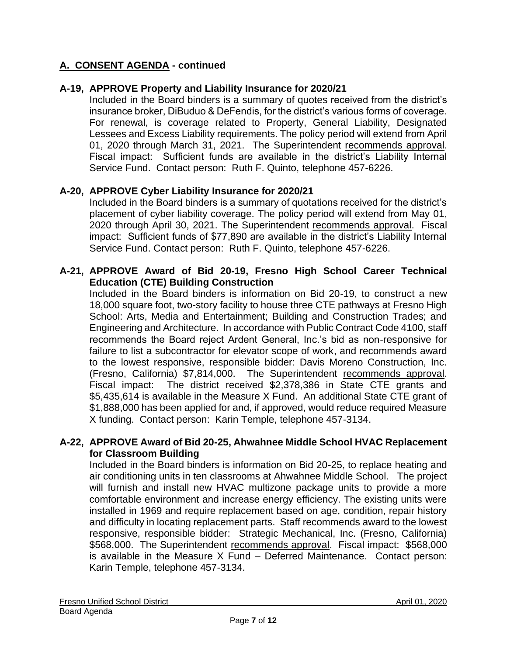#### **A-19, APPROVE Property and Liability Insurance for 2020/21**

Included in the Board binders is a summary of quotes received from the district's insurance broker, DiBuduo & DeFendis, for the district's various forms of coverage. For renewal, is coverage related to Property, General Liability, Designated Lessees and Excess Liability requirements. The policy period will extend from April 01, 2020 through March 31, 2021. The Superintendent recommends approval. Fiscal impact: Sufficient funds are available in the district's Liability Internal Service Fund. Contact person: Ruth F. Quinto, telephone 457-6226.

#### **A-20, APPROVE Cyber Liability Insurance for 2020/21**

Included in the Board binders is a summary of quotations received for the district's placement of cyber liability coverage. The policy period will extend from May 01, 2020 through April 30, 2021. The Superintendent recommends approval. Fiscal impact: Sufficient funds of \$77,890 are available in the district's Liability Internal Service Fund. Contact person: Ruth F. Quinto, telephone 457-6226.

#### **A-21, APPROVE Award of Bid 20-19, Fresno High School Career Technical Education (CTE) Building Construction**

Included in the Board binders is information on Bid 20-19, to construct a new 18,000 square foot, two-story facility to house three CTE pathways at Fresno High School: Arts, Media and Entertainment; Building and Construction Trades; and Engineering and Architecture. In accordance with Public Contract Code 4100, staff recommends the Board reject Ardent General, Inc.'s bid as non-responsive for failure to list a subcontractor for elevator scope of work, and recommends award to the lowest responsive, responsible bidder: Davis Moreno Construction, Inc. (Fresno, California) \$7,814,000. The Superintendent recommends approval. Fiscal impact: The district received \$2,378,386 in State CTE grants and \$5,435,614 is available in the Measure X Fund. An additional State CTE grant of \$1,888,000 has been applied for and, if approved, would reduce required Measure X funding. Contact person: Karin Temple, telephone 457-3134.

#### **A-22, APPROVE Award of Bid 20-25, Ahwahnee Middle School HVAC Replacement for Classroom Building**

Included in the Board binders is information on Bid 20-25, to replace heating and air conditioning units in ten classrooms at Ahwahnee Middle School. The project will furnish and install new HVAC multizone package units to provide a more comfortable environment and increase energy efficiency. The existing units were installed in 1969 and require replacement based on age, condition, repair history and difficulty in locating replacement parts. Staff recommends award to the lowest responsive, responsible bidder: Strategic Mechanical, Inc. (Fresno, California) \$568,000. The Superintendent recommends approval. Fiscal impact: \$568,000 is available in the Measure X Fund – Deferred Maintenance. Contact person: Karin Temple, telephone 457-3134.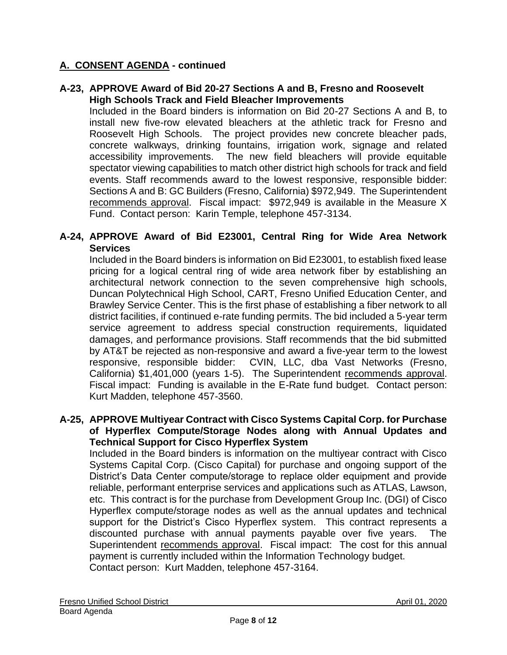#### **A-23, APPROVE Award of Bid 20-27 Sections A and B, Fresno and Roosevelt High Schools Track and Field Bleacher Improvements**

Included in the Board binders is information on Bid 20-27 Sections A and B, to install new five-row elevated bleachers at the athletic track for Fresno and Roosevelt High Schools. The project provides new concrete bleacher pads, concrete walkways, drinking fountains, irrigation work, signage and related accessibility improvements. The new field bleachers will provide equitable spectator viewing capabilities to match other district high schools for track and field events. Staff recommends award to the lowest responsive, responsible bidder: Sections A and B: GC Builders (Fresno, California) \$972,949. The Superintendent recommends approval. Fiscal impact: \$972,949 is available in the Measure X Fund. Contact person: Karin Temple, telephone 457-3134.

#### **A-24, APPROVE Award of Bid E23001, Central Ring for Wide Area Network Services**

Included in the Board binders is information on Bid E23001, to establish fixed lease pricing for a logical central ring of wide area network fiber by establishing an architectural network connection to the seven comprehensive high schools, Duncan Polytechnical High School, CART, Fresno Unified Education Center, and Brawley Service Center. This is the first phase of establishing a fiber network to all district facilities, if continued e-rate funding permits. The bid included a 5-year term service agreement to address special construction requirements, liquidated damages, and performance provisions. Staff recommends that the bid submitted by AT&T be rejected as non-responsive and award a five-year term to the lowest responsive, responsible bidder: CVIN, LLC, dba Vast Networks (Fresno, California) \$1,401,000 (years 1-5). The Superintendent recommends approval. Fiscal impact: Funding is available in the E-Rate fund budget. Contact person: Kurt Madden, telephone 457-3560.

#### **A-25, APPROVE Multiyear Contract with Cisco Systems Capital Corp. for Purchase of Hyperflex Compute/Storage Nodes along with Annual Updates and Technical Support for Cisco Hyperflex System**

Included in the Board binders is information on the multiyear contract with Cisco Systems Capital Corp. (Cisco Capital) for purchase and ongoing support of the District's Data Center compute/storage to replace older equipment and provide reliable, performant enterprise services and applications such as ATLAS, Lawson, etc. This contract is for the purchase from Development Group Inc. (DGI) of Cisco Hyperflex compute/storage nodes as well as the annual updates and technical support for the District's Cisco Hyperflex system. This contract represents a discounted purchase with annual payments payable over five years. The Superintendent recommends approval. Fiscal impact: The cost for this annual payment is currently included within the Information Technology budget. Contact person: Kurt Madden, telephone 457-3164.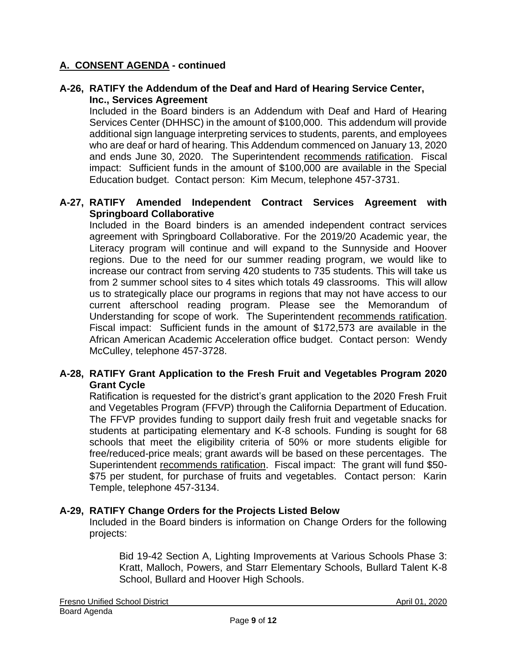#### **A-26, RATIFY the Addendum of the Deaf and Hard of Hearing Service Center, Inc., Services Agreement**

Included in the Board binders is an Addendum with Deaf and Hard of Hearing Services Center (DHHSC) in the amount of \$100,000. This addendum will provide additional sign language interpreting services to students, parents, and employees who are deaf or hard of hearing. This Addendum commenced on January 13, 2020 and ends June 30, 2020. The Superintendent recommends ratification. Fiscal impact: Sufficient funds in the amount of \$100,000 are available in the Special Education budget. Contact person: Kim Mecum, telephone 457-3731.

#### **A-27, RATIFY Amended Independent Contract Services Agreement with Springboard Collaborative**

Included in the Board binders is an amended independent contract services agreement with Springboard Collaborative. For the 2019/20 Academic year, the Literacy program will continue and will expand to the Sunnyside and Hoover regions. Due to the need for our summer reading program, we would like to increase our contract from serving 420 students to 735 students. This will take us from 2 summer school sites to 4 sites which totals 49 classrooms. This will allow us to strategically place our programs in regions that may not have access to our current afterschool reading program. Please see the Memorandum of Understanding for scope of work. The Superintendent recommends ratification. Fiscal impact: Sufficient funds in the amount of \$172,573 are available in the African American Academic Acceleration office budget. Contact person: Wendy McCulley, telephone 457-3728.

#### **A-28, RATIFY Grant Application to the Fresh Fruit and Vegetables Program 2020 Grant Cycle**

Ratification is requested for the district's grant application to the 2020 Fresh Fruit and Vegetables Program (FFVP) through the California Department of Education. The FFVP provides funding to support daily fresh fruit and vegetable snacks for students at participating elementary and K-8 schools. Funding is sought for 68 schools that meet the eligibility criteria of 50% or more students eligible for free/reduced-price meals; grant awards will be based on these percentages. The Superintendent recommends ratification. Fiscal impact: The grant will fund \$50- \$75 per student, for purchase of fruits and vegetables. Contact person: Karin Temple, telephone 457-3134.

#### **A-29, RATIFY Change Orders for the Projects Listed Below**

Included in the Board binders is information on Change Orders for the following projects:

Bid 19-42 Section A, Lighting Improvements at Various Schools Phase 3: Kratt, Malloch, Powers, and Starr Elementary Schools, Bullard Talent K-8 School, Bullard and Hoover High Schools.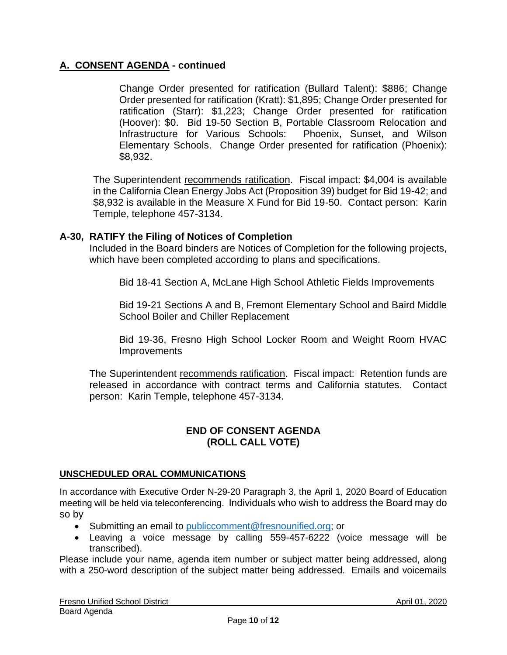Change Order presented for ratification (Bullard Talent): \$886; Change Order presented for ratification (Kratt): \$1,895; Change Order presented for ratification (Starr): \$1,223; Change Order presented for ratification (Hoover): \$0. Bid 19-50 Section B, Portable Classroom Relocation and Infrastructure for Various Schools: Phoenix, Sunset, and Wilson Elementary Schools. Change Order presented for ratification (Phoenix): \$8,932.

The Superintendent recommends ratification. Fiscal impact: \$4,004 is available in the California Clean Energy Jobs Act (Proposition 39) budget for Bid 19-42; and \$8,932 is available in the Measure X Fund for Bid 19-50. Contact person: Karin Temple, telephone 457-3134.

## **A-30, RATIFY the Filing of Notices of Completion**

Included in the Board binders are Notices of Completion for the following projects, which have been completed according to plans and specifications.

Bid 18-41 Section A, McLane High School Athletic Fields Improvements

Bid 19-21 Sections A and B, Fremont Elementary School and Baird Middle School Boiler and Chiller Replacement

Bid 19-36, Fresno High School Locker Room and Weight Room HVAC **Improvements** 

The Superintendent recommends ratification. Fiscal impact: Retention funds are released in accordance with contract terms and California statutes. Contact person: Karin Temple, telephone 457-3134.

#### **END OF CONSENT AGENDA (ROLL CALL VOTE)**

#### **UNSCHEDULED ORAL COMMUNICATIONS**

In accordance with Executive Order N-29-20 Paragraph 3, the April 1, 2020 Board of Education meeting will be held via teleconferencing. Individuals who wish to address the Board may do so by

- Submitting an email to [publiccomment@fresnounified.org;](mailto:publiccomment@fresnounified.org) or
- Leaving a voice message by calling 559-457-6222 (voice message will be transcribed).

Please include your name, agenda item number or subject matter being addressed, along with a 250-word description of the subject matter being addressed. Emails and voicemails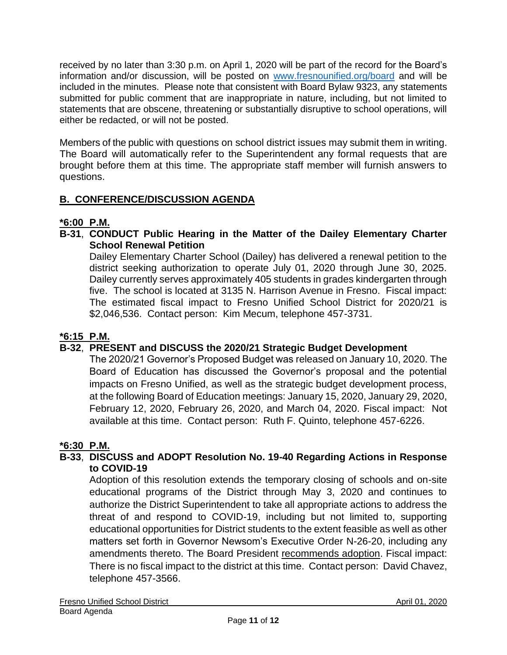received by no later than 3:30 p.m. on April 1, 2020 will be part of the record for the Board's information and/or discussion, will be posted on [www.fresnounified.org/board](http://www.fresnounified.org/board) and will be included in the minutes. Please note that consistent with Board Bylaw 9323, any statements submitted for public comment that are inappropriate in nature, including, but not limited to statements that are obscene, threatening or substantially disruptive to school operations, will either be redacted, or will not be posted.

Members of the public with questions on school district issues may submit them in writing. The Board will automatically refer to the Superintendent any formal requests that are brought before them at this time. The appropriate staff member will furnish answers to questions.

# **B. CONFERENCE/DISCUSSION AGENDA**

# **\*6:00 P.M.**

**B-31**, **CONDUCT Public Hearing in the Matter of the Dailey Elementary Charter School Renewal Petition**

Dailey Elementary Charter School (Dailey) has delivered a renewal petition to the district seeking authorization to operate July 01, 2020 through June 30, 2025. Dailey currently serves approximately 405 students in grades kindergarten through five. The school is located at 3135 N. Harrison Avenue in Fresno. Fiscal impact: The estimated fiscal impact to Fresno Unified School District for 2020/21 is \$2,046,536. Contact person: Kim Mecum, telephone 457-3731.

# **\*6:15 P.M.**

# **B-32**, **PRESENT and DISCUSS the 2020/21 Strategic Budget Development**

The 2020/21 Governor's Proposed Budget was released on January 10, 2020. The Board of Education has discussed the Governor's proposal and the potential impacts on Fresno Unified, as well as the strategic budget development process, at the following Board of Education meetings: January 15, 2020, January 29, 2020, February 12, 2020, February 26, 2020, and March 04, 2020. Fiscal impact: Not available at this time. Contact person: Ruth F. Quinto, telephone 457-6226.

## **\*6:30 P.M.**

# **B-33**, **DISCUSS and ADOPT Resolution No. 19-40 Regarding Actions in Response to COVID-19**

Adoption of this resolution extends the temporary closing of schools and on-site educational programs of the District through May 3, 2020 and continues to authorize the District Superintendent to take all appropriate actions to address the threat of and respond to COVID-19, including but not limited to, supporting educational opportunities for District students to the extent feasible as well as other matters set forth in Governor Newsom's Executive Order N-26-20, including any amendments thereto. The Board President recommends adoption. Fiscal impact: There is no fiscal impact to the district at this time. Contact person: David Chavez, telephone 457-3566.